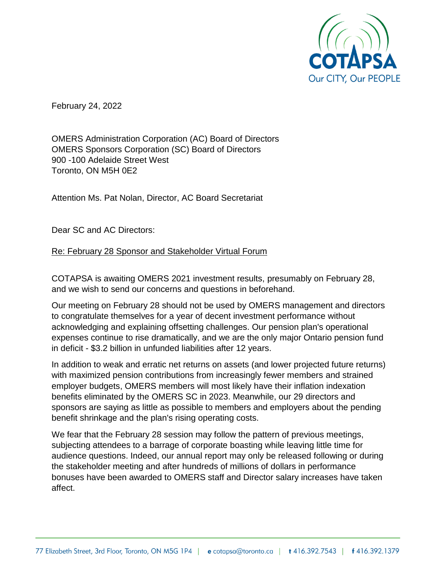

February 24, 2022

OMERS Administration Corporation (AC) Board of Directors OMERS Sponsors Corporation (SC) Board of Directors 900 -100 Adelaide Street West Toronto, ON M5H 0E2

Attention Ms. Pat Nolan, Director, AC Board Secretariat

Dear SC and AC Directors:

## Re: February 28 Sponsor and Stakeholder Virtual Forum

COTAPSA is awaiting OMERS 2021 investment results, presumably on February 28, and we wish to send our concerns and questions in beforehand.

Our meeting on February 28 should not be used by OMERS management and directors to congratulate themselves for a year of decent investment performance without acknowledging and explaining offsetting challenges. Our pension plan's operational expenses continue to rise dramatically, and we are the only major Ontario pension fund in deficit - \$3.2 billion in unfunded liabilities after 12 years.

In addition to weak and erratic net returns on assets (and lower projected future returns) with maximized pension contributions from increasingly fewer members and strained employer budgets, OMERS members will most likely have their inflation indexation benefits eliminated by the OMERS SC in 2023. Meanwhile, our 29 directors and sponsors are saying as little as possible to members and employers about the pending benefit shrinkage and the plan's rising operating costs.

We fear that the February 28 session may follow the pattern of previous meetings, subjecting attendees to a barrage of corporate boasting while leaving little time for audience questions. Indeed, our annual report may only be released following or during the stakeholder meeting and after hundreds of millions of dollars in performance bonuses have been awarded to OMERS staff and Director salary increases have taken affect.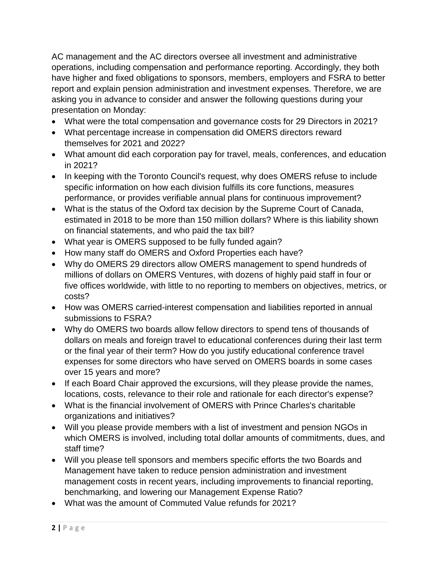AC management and the AC directors oversee all investment and administrative operations, including compensation and performance reporting. Accordingly, they both have higher and fixed obligations to sponsors, members, employers and FSRA to better report and explain pension administration and investment expenses. Therefore, we are asking you in advance to consider and answer the following questions during your presentation on Monday:

- What were the total compensation and governance costs for 29 Directors in 2021?
- What percentage increase in compensation did OMERS directors reward themselves for 2021 and 2022?
- What amount did each corporation pay for travel, meals, conferences, and education in 2021?
- In keeping with the Toronto Council's request, why does OMERS refuse to include specific information on how each division fulfills its core functions, measures performance, or provides verifiable annual plans for continuous improvement?
- What is the status of the Oxford tax decision by the Supreme Court of Canada, estimated in 2018 to be more than 150 million dollars? Where is this liability shown on financial statements, and who paid the tax bill?
- What year is OMERS supposed to be fully funded again?
- How many staff do OMERS and Oxford Properties each have?
- Why do OMERS 29 directors allow OMERS management to spend hundreds of millions of dollars on OMERS Ventures, with dozens of highly paid staff in four or five offices worldwide, with little to no reporting to members on objectives, metrics, or costs?
- How was OMERS carried-interest compensation and liabilities reported in annual submissions to FSRA?
- Why do OMERS two boards allow fellow directors to spend tens of thousands of dollars on meals and foreign travel to educational conferences during their last term or the final year of their term? How do you justify educational conference travel expenses for some directors who have served on OMERS boards in some cases over 15 years and more?
- If each Board Chair approved the excursions, will they please provide the names, locations, costs, relevance to their role and rationale for each director's expense?
- What is the financial involvement of OMERS with Prince Charles's charitable organizations and initiatives?
- Will you please provide members with a list of investment and pension NGOs in which OMERS is involved, including total dollar amounts of commitments, dues, and staff time?
- Will you please tell sponsors and members specific efforts the two Boards and Management have taken to reduce pension administration and investment management costs in recent years, including improvements to financial reporting, benchmarking, and lowering our Management Expense Ratio?
- What was the amount of Commuted Value refunds for 2021?